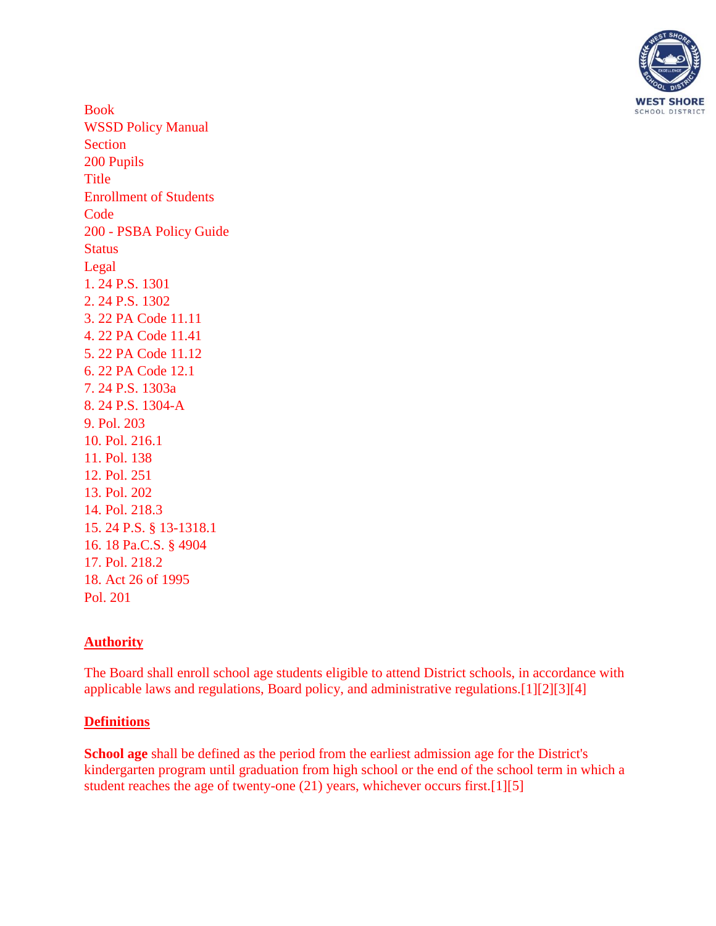

Book WSSD Policy Manual Section 200 Pupils Title Enrollment of Students **Code** 200 - PSBA Policy Guide **Status** Legal [1. 24 P.S. 1301](http://www.legis.state.pa.us/cfdocs/legis/LI/uconsCheck.cfm?txtType=HTM&yr=1949&sessInd=0&smthLwInd=0&act=14&chpt=13&sctn=1&subsctn=0) [2. 24 P.S. 1302](http://www.legis.state.pa.us/cfdocs/legis/LI/uconsCheck.cfm?txtType=HTM&yr=1949&sessInd=0&smthLwInd=0&act=14&chpt=13&sctn=2&subsctn=0) [3. 22 PA Code 11.11](http://pacodeandbulletin.gov/Display/pacode?file=/secure/pacode/data/022/chapter11/s11.11.html&d=reduce) [4. 22 PA Code 11.41](http://pacodeandbulletin.gov/Display/pacode?file=/secure/pacode/data/022/chapter11/s11.41.html&d=reduce) [5. 22 PA Code 11.12](http://pacodeandbulletin.gov/Display/pacode?file=/secure/pacode/data/022/chapter11/s11.12.html&d=reduce) [6. 22 PA Code 12.1](http://pacodeandbulletin.gov/Display/pacode?file=/secure/pacode/data/022/chapter12/s12.1.html&d=reduce) [7. 24 P.S. 1303a](http://www.legis.state.pa.us/cfdocs/legis/LI/uconsCheck.cfm?txtType=HTM&yr=1949&sessInd=0&smthLwInd=0&act=14&chpt=13&sctn=3&subsctn=0) [8. 24 P.S. 1304-A](http://www.legis.state.pa.us/cfdocs/legis/LI/uconsCheck.cfm?txtType=HTM&yr=1949&sessInd=0&smthLwInd=0&act=14&chpt=13A&sctn=4&subsctn=0) 9. Pol. 203 10. Pol. 216.1 11. Pol. 138 12. Pol. 251 13. Pol. 202 14. Pol. 218.3 15. 24 P.S. § 13-1318.1 16. 18 Pa.C.S. § 4904 17. Pol. 218.2 18. Act 26 of 1995 Pol. 201

## **Authority**

The Board shall enroll school age students eligible to attend District schools, in accordance with applicable laws and regulations, Board policy, and administrative regulations[.\[1\]\[2\]](http://www.legis.state.pa.us/cfdocs/legis/LI/uconsCheck.cfm?txtType=HTM&yr=1949&sessInd=0&smthLwInd=0&act=14&chpt=13&sctn=1&subsctn=0)[\[3\]\[4\]](http://pacodeandbulletin.gov/Display/pacode?file=/secure/pacode/data/022/chapter11/s11.11.html&d=reduce)

## **Definitions**

**School age** shall be defined as the period from the earliest admission age for the District's kindergarten program until graduation from high school or the end of the school term in which a student reaches the age of twenty-one (21) years, whichever occurs first[.\[1\]\[5\]](http://www.legis.state.pa.us/cfdocs/legis/LI/uconsCheck.cfm?txtType=HTM&yr=1949&sessInd=0&smthLwInd=0&act=14&chpt=13&sctn=1&subsctn=0)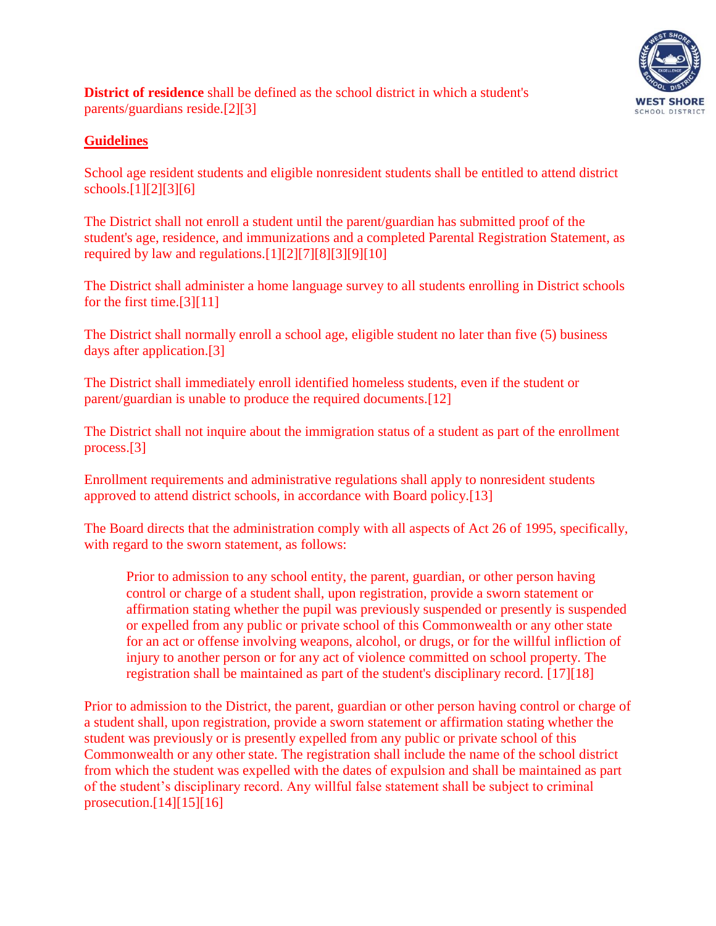

**District of residence** shall be defined as the school district in which a student's parents/guardians reside[.\[2\]\[3\]](http://www.legis.state.pa.us/cfdocs/legis/LI/uconsCheck.cfm?txtType=HTM&yr=1949&sessInd=0&smthLwInd=0&act=14&chpt=13&sctn=2&subsctn=0)

## **Guidelines**

School age resident students and eligible nonresident students shall be entitled to attend district schools[.\[1\]\[2\]](http://www.legis.state.pa.us/cfdocs/legis/LI/uconsCheck.cfm?txtType=HTM&yr=1949&sessInd=0&smthLwInd=0&act=14&chpt=13&sctn=1&subsctn=0)[\[3\]\[6\]](http://pacodeandbulletin.gov/Display/pacode?file=/secure/pacode/data/022/chapter11/s11.11.html&d=reduce)

The District shall not enroll a student until the parent/guardian has submitted proof of the student's age, residence, and immunizations and a completed Parental Registration Statement, as required by law and regulations[.\[1\]\[2\]](http://www.legis.state.pa.us/cfdocs/legis/LI/uconsCheck.cfm?txtType=HTM&yr=1949&sessInd=0&smthLwInd=0&act=14&chpt=13&sctn=1&subsctn=0)[\[7\]\[8\]](http://www.legis.state.pa.us/cfdocs/legis/LI/uconsCheck.cfm?txtType=HTM&yr=1949&sessInd=0&smthLwInd=0&act=14&chpt=13&sctn=3&subsctn=0)[\[3\]\[](http://pacodeandbulletin.gov/Display/pacode?file=/secure/pacode/data/022/chapter11/s11.11.html&d=reduce)9][10]

The District shall administer a home language survey to all students enrolling in District schools for the first time[.\[3\]\[](http://pacodeandbulletin.gov/Display/pacode?file=/secure/pacode/data/022/chapter11/s11.11.html&d=reduce)11]

The District shall normally enroll a school age, eligible student no later than five (5) business days after application[.\[3\]](http://pacodeandbulletin.gov/Display/pacode?file=/secure/pacode/data/022/chapter11/s11.11.html&d=reduce)

The District shall immediately enroll identified homeless students, even if the student or parent/guardian is unable to produce the required documents.[12]

The District shall not inquire about the immigration status of a student as part of the enrollment process[.\[3\]](http://pacodeandbulletin.gov/Display/pacode?file=/secure/pacode/data/022/chapter11/s11.11.html&d=reduce)

Enrollment requirements and administrative regulations shall apply to nonresident students approved to attend district schools, in accordance with Board policy.[13]

The Board directs that the administration comply with all aspects of Act 26 of 1995, specifically, with regard to the sworn statement, as follows:

Prior to admission to any school entity, the parent, guardian, or other person having control or charge of a student shall, upon registration, provide a sworn statement or affirmation stating whether the pupil was previously suspended or presently is suspended or expelled from any public or private school of this Commonwealth or any other state for an act or offense involving weapons, alcohol, or drugs, or for the willful infliction of injury to another person or for any act of violence committed on school property. The registration shall be maintained as part of the student's disciplinary record. [17][18]

Prior to admission to the District, the parent, guardian or other person having control or charge of a student shall, upon registration, provide a sworn statement or affirmation stating whether the student was previously or is presently expelled from any public or private school of this Commonwealth or any other state. The registration shall include the name of the school district from which the student was expelled with the dates of expulsion and shall be maintained as part of the student's disciplinary record. Any willful false statement shall be subject to criminal prosecution.[14][15][16]